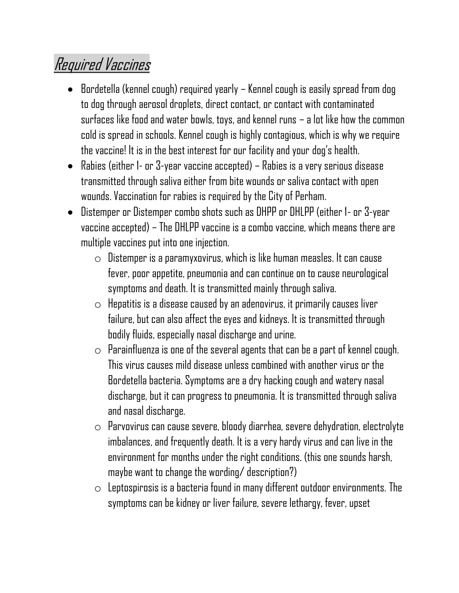## Required Vaccines

- Bordetella (kennel cough) required yearly Kennel cough is easily spread from dog to dog through aerosol droplets, direct contact, or contact with contaminated surfaces like food and water bowls, toys, and kennel runs – a lot like how the common cold is spread in schools. Kennel cough is highly contagious, which is why we require the vaccine! It is in the best interest for our facility and your dog's health.
- Rabies (either 1- or 3-year vaccine accepted) Rabies is a very serious disease transmitted through saliva either from bite wounds or saliva contact with open wounds. Vaccination for rabies is required by the City of Perham.
- Distemper or Distemper combo shots such as DHPP or DHLPP (either 1- or 3-year vaccine accepted) – The DHLPP vaccine is a combo vaccine, which means there are multiple vaccines put into one injection.
	- $\circ$  Distemper is a paramyxovirus, which is like human measles. It can cause fever, poor appetite, pneumonia and can continue on to cause neurological symptoms and death. It is transmitted mainly through saliva.
	- $\circ$  Hepatitis is a disease caused by an adenovirus, it primarily causes liver failure, but can also affect the eyes and kidneys. It is transmitted through bodily fluids, especially nasal discharge and urine.
	- $\circ$  Parainfluenza is one of the several agents that can be a part of kennel cough. This virus causes mild disease unless combined with another virus or the Bordetella bacteria. Symptoms are a dry hacking cough and watery nasal discharge, but it can progress to pneumonia. It is transmitted through saliva and nasal discharge.
	- $\circ$  Parvovirus can cause severe, bloody diarrhea, severe dehydration, electrolyte imbalances, and frequently death. It is a very hardy virus and can live in the environment for months under the right conditions. (this one sounds harsh, maybe want to change the wording/ description?)
	- $\circ$  Leptospirosis is a bacteria found in many different outdoor environments. The symptoms can be kidney or liver failure, severe lethargy, fever, upset